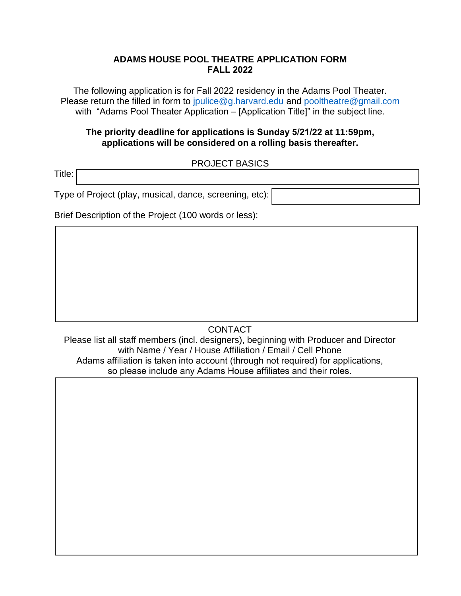## **ADAMS HOUSE POOL THEATRE APPLICATION FORM FALL 2022**

The following application is for Fall 2022 residency in the Adams Pool Theater. Please return the filled in form to [jpulice@g.harvard.edu](mailto:jpulice@g.harvard.edu) and [pooltheatre@gmail.com](mailto:pooltheatre@gmail.com) with "Adams Pool Theater Application – [Application Title]" in the subject line.

### **The priority deadline for applications is Sunday 5/21/22 at 11:59pm, applications will be considered on a rolling basis thereafter.**

### PROJECT BASICS

Title:

Type of Project (play, musical, dance, screening, etc):

Brief Description of the Project (100 words or less):

# **CONTACT**

Please list all staff members (incl. designers), beginning with Producer and Director with Name / Year / House Affiliation / Email / Cell Phone Adams affiliation is taken into account (through not required) for applications, so please include any Adams House affiliates and their roles.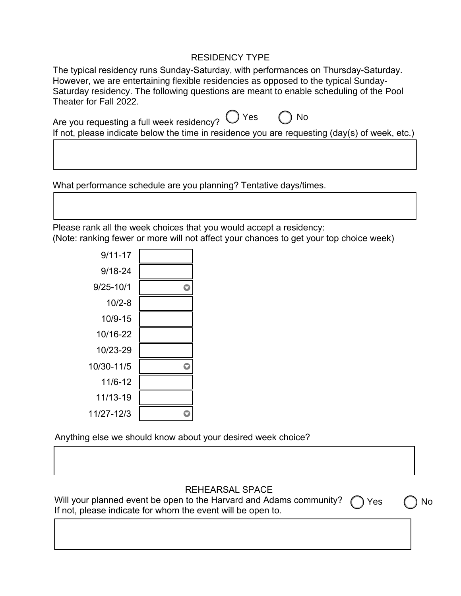# RESIDENCY TYPE

The typical residency runs Sunday-Saturday, with performances on Thursday-Saturday. However, we are entertaining flexible residencies as opposed to the typical Sunday-Saturday residency. The following questions are meant to enable scheduling of the Pool Theater for Fall 2022.

| <sup>1</sup> re you requesting a full week residency? ∪ Yes ○ No                                            |  |
|-------------------------------------------------------------------------------------------------------------|--|
| If not, please indicate below the time in residence you are requesting $\frac{day(s)}{g(s)}$ of week, etc.) |  |

What performance schedule are you planning? Tentative days/times.

Please rank all the week choices that you would accept a residency: (Note: ranking fewer or more will not affect your chances to get your top choice week)

| $9/11 - 17$ |  |
|-------------|--|
| $9/18 - 24$ |  |
| 9/25-10/1   |  |
| $10/2 - 8$  |  |
| 10/9-15     |  |
| 10/16-22    |  |
| 10/23-29    |  |
| 10/30-11/5  |  |
| 11/6-12     |  |
| 11/13-19    |  |
| 11/27-12/3  |  |
|             |  |

Anything else we should know about your desired week choice?

## REHEARSAL SPACE

Will your planned event be open to the Harvard and Adams community? ( If not, please indicate for whom the event will be open to. )Yes *(* )No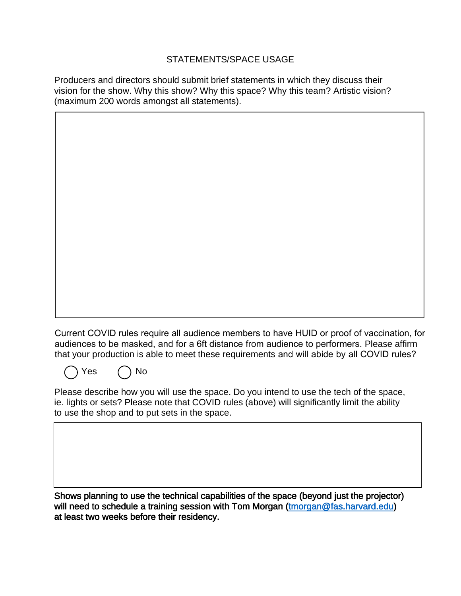## STATEMENTS/SPACE USAGE

Producers and directors should submit brief statements in which they discuss their vision for the show. Why this show? Why this space? Why this team? Artistic vision? (maximum 200 words amongst all statements).

Current COVID rules require all audience members to have HUID or proof of vaccination, for audiences to be masked, and for a 6ft distance from audience to performers. Please affirm that your production is able to meet these requirements and will abide by all COVID rules?

Please describe how you will use the space. Do you intend to use the tech of the space, ie. lights or sets? Please note that COVID rules (above) will significantly limit the ability to use the shop and to put sets in the space.

Yes ( ) No

Shows planning to use the technical capabilities of the space (beyond just the projector) will need to schedule a training session with Tom Morgan (tmorgan@fas.harvard.edu) at least two weeks before their residency.